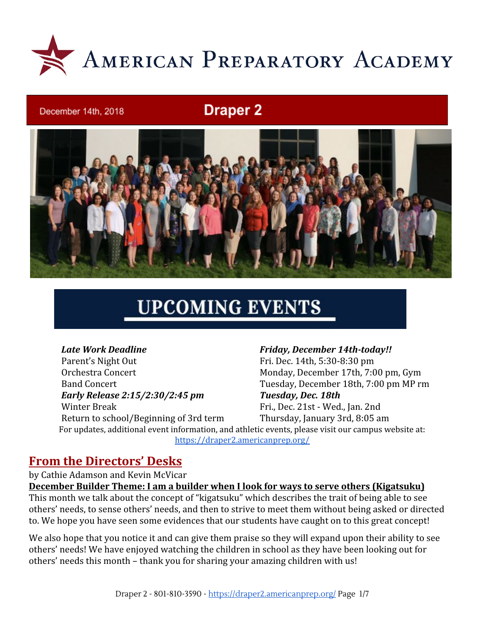

## **Draper 2**



# **UPCOMING EVENTS**

### *Late Work Deadline Friday, December 14th-today!!*

December 14th, 2018

Parent's Night Out Fri. Dec. 14th, 5:30-8:30 pm Orchestra Concert Monday, December 17th, 7:00 pm, Gym Band Concert Tuesday, December 18th, 7:00 pm MP rm *Early Release 2:15/2:30/2:45 pm Tuesday, Dec. 18th* Winter Break Fri., Dec. 21st - Wed., Jan. 2nd Return to school/Beginning of 3rd term Thursday, January 3rd, 8:05 am For updates, additional event information, and athletic events, please visit our campus website at:

<https://draper2.americanprep.org/>

## **From the Directors' Desks**

by Cathie Adamson and Kevin McVicar

**December Builder Theme: I am a builder when I look for ways to serve others (Kigatsuku)**

This month we talk about the concept of "kigatsuku" which describes the trait of being able to see others' needs, to sense others' needs, and then to strive to meet them without being asked or directed to. We hope you have seen some evidences that our students have caught on to this great concept!

We also hope that you notice it and can give them praise so they will expand upon their ability to see others' needs! We have enjoyed watching the children in school as they have been looking out for others' needs this month – thank you for sharing your amazing children with us!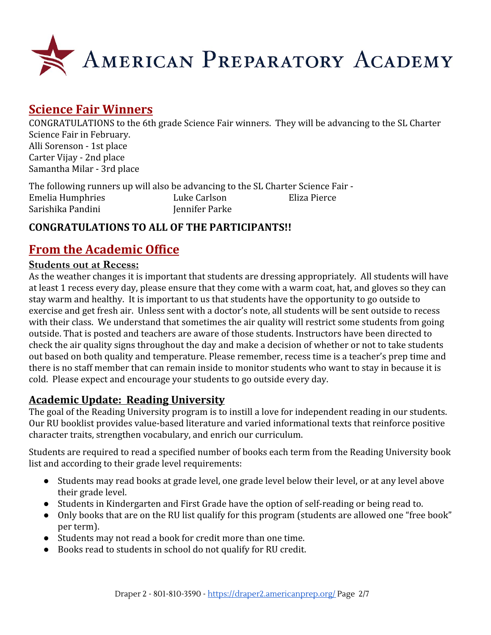

## **Science Fair Winners**

CONGRATULATIONS to the 6th grade Science Fair winners. They will be advancing to the SL Charter Science Fair in February. Alli Sorenson - 1st place Carter Vijay - 2nd place Samantha Milar - 3rd place

The following runners up will also be advancing to the SL Charter Science Fair - Emelia Humphries Luke Carlson Eliza Pierce Sarishika Pandini Jennifer Parke

## **CONGRATULATIONS TO ALL OF THE PARTICIPANTS!!**

## **From the Academic Office**

## **Students out at Recess:**

As the weather changes it is important that students are dressing appropriately. All students will have at least 1 recess every day, please ensure that they come with a warm coat, hat, and gloves so they can stay warm and healthy. It is important to us that students have the opportunity to go outside to exercise and get fresh air. Unless sent with a doctor's note, all students will be sent outside to recess with their class. We understand that sometimes the air quality will restrict some students from going outside. That is posted and teachers are aware of those students. Instructors have been directed to check the air quality signs throughout the day and make a decision of whether or not to take students out based on both quality and temperature. Please remember, recess time is a teacher's prep time and there is no staff member that can remain inside to monitor students who want to stay in because it is cold. Please expect and encourage your students to go outside every day.

## **Academic Update: Reading University**

The goal of the Reading University program is to instill a love for independent reading in our students. Our RU booklist provides value-based literature and varied informational texts that reinforce positive character traits, strengthen vocabulary, and enrich our curriculum.

Students are required to read a specified number of books each term from the Reading University book list and according to their grade level requirements:

- Students may read books at grade level, one grade level below their level, or at any level above their grade level.
- Students in Kindergarten and First Grade have the option of self-reading or being read to.
- Only books that are on the RU list qualify for this program (students are allowed one "free book" per term).
- Students may not read a book for credit more than one time.
- Books read to students in school do not qualify for RU credit.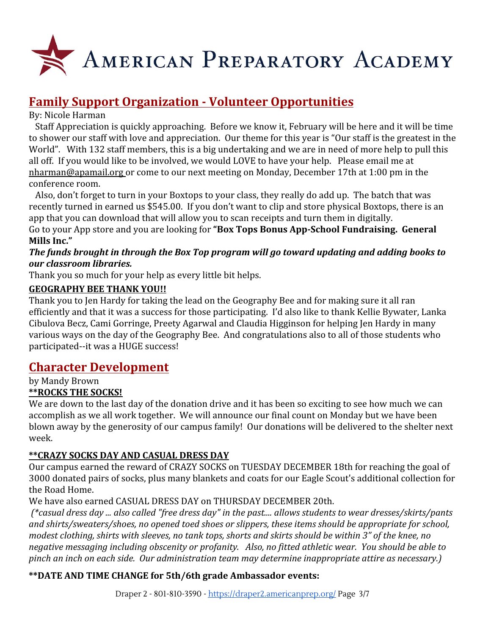AMERICAN PREPARATORY ACADEMY

## **Family Support Organization - Volunteer Opportunities**

## By: Nicole Harman

 Staff Appreciation is quickly approaching. Before we know it, February will be here and it will be time to shower our staff with love and appreciation. Our theme for this year is "Our staff is the greatest in the World". With 132 staff members, this is a big undertaking and we are in need of more help to pull this all off. If you would like to be involved, we would LOVE to have your help. Please email me at [nharman@apamail.org o](mailto:nharman@apamail.org)r come to our next meeting on Monday, December 17th at 1:00 pm in the conference room.

 Also, don't forget to turn in your Boxtops to your class, they really do add up. The batch that was recently turned in earned us \$545.00. If you don't want to clip and store physical Boxtops, there is an app that you can download that will allow you to scan receipts and turn them in digitally.

Go to your App store and you are looking for **"Box Tops Bonus App-School Fundraising. General Mills Inc."**

## *The funds brought in through the Box Top program will go toward updating and adding books to our classroom libraries.*

Thank you so much for your help as every little bit helps.

## **GEOGRAPHY BEE THANK YOU!!**

Thank you to Jen Hardy for taking the lead on the Geography Bee and for making sure it all ran efficiently and that it was a success for those participating. I'd also like to thank Kellie Bywater, Lanka Cibulova Becz, Cami Gorringe, Preety Agarwal and Claudia Higginson for helping Jen Hardy in many various ways on the day of the Geography Bee. And congratulations also to all of those students who participated--it was a HUGE success!

## **Character Development**

by Mandy Brown **\*\*ROCKS THE SOCKS!**

We are down to the last day of the donation drive and it has been so exciting to see how much we can accomplish as we all work together. We will announce our final count on Monday but we have been blown away by the generosity of our campus family! Our donations will be delivered to the shelter next week.

## **\*\*CRAZY SOCKS DAY AND CASUAL DRESS DAY**

Our campus earned the reward of CRAZY SOCKS on TUESDAY DECEMBER 18th for reaching the goal of 3000 donated pairs of socks, plus many blankets and coats for our Eagle Scout's additional collection for the Road Home.

## We have also earned CASUAL DRESS DAY on THURSDAY DECEMBER 20th.

*(\*casual dress day ... also called "free dress day" in the past.... allows students to wear dresses/skirts/pants and shirts/sweaters/shoes, no opened toed shoes or slippers, these items should be appropriate for school, modest clothing, shirts with sleeves, no tank tops, shorts and skirts should be within 3" of the knee, no negative messaging including obscenity or profanity. Also, no fitted athletic wear. You should be able to pinch an inch on each side. Our administration team may determine inappropriate attire as necessary.)*

## **\*\*DATE AND TIME CHANGE for 5th/6th grade Ambassador events:**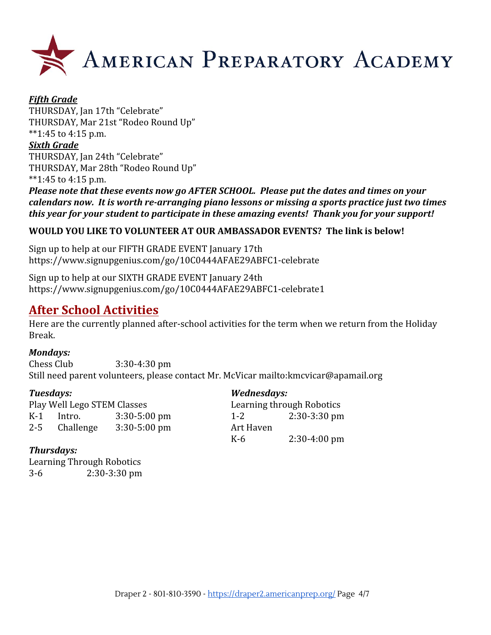

## *Fifth Grade* THURSDAY, Jan 17th "Celebrate" THURSDAY, Mar 21st "Rodeo Round Up" \*\*1:45 to 4:15 p.m. *Sixth Grade* THURSDAY, Jan 24th "Celebrate" THURSDAY, Mar 28th "Rodeo Round Up" \*\*1:45 to 4:15 p.m.

*Please note that these events now go AFTER SCHOOL. Please put the dates and times on your calendars now. It is worth re-arranging piano lessons or missing a sports practice just two times this year for your student to participate in these amazing events! Thank you for your support!*

## **WOULD YOU LIKE TO VOLUNTEER AT OUR AMBASSADOR EVENTS? The link is below!**

Sign up to help at our FIFTH GRADE EVENT January 17th <https://www.signupgenius.com/go/10C0444AFAE29ABFC1-celebrate>

Sign up to help at our SIXTH GRADE EVENT January 24th <https://www.signupgenius.com/go/10C0444AFAE29ABFC1-celebrate1>

## **After School Activities**

Here are the currently planned after-school activities for the term when we return from the Holiday Break.

### *Mondays:*

Chess Club 3:30-4:30 pm Still need parent volunteers, please contact Mr. McVicar<mailto:kmcvicar@apamail.org>

Play Well Lego STEM Classes Learning through Robotics K-1 Intro. 3:30-5:00 pm 1-2 2:30-3:30 pm 2-5 Challenge 3:30-5:00 pm Art Haven

## *Tuesdays: Wednesdays:*

K-6 2:30-4:00 pm

### *Thursdays:*

Learning Through Robotics 3-6 2:30-3:30 pm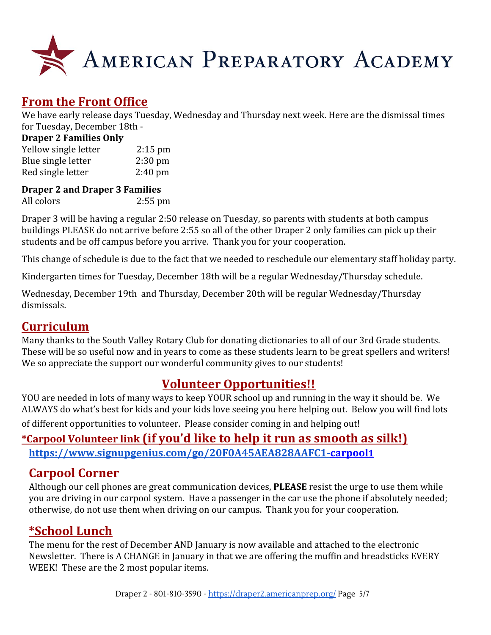

## **From the Front Office**

We have early release days Tuesday, Wednesday and Thursday next week. Here are the dismissal times for Tuesday, December 18th -

### **Draper 2 Families Only**

| Yellow single letter | $2:15$ pm         |
|----------------------|-------------------|
| Blue single letter   | $2:30$ pm         |
| Red single letter    | $2:40 \text{ pm}$ |

## **Draper 2 and Draper 3 Families**

All colors 2:55 pm

Draper 3 will be having a regular 2:50 release on Tuesday, so parents with students at both campus buildings PLEASE do not arrive before 2:55 so all of the other Draper 2 only families can pick up their students and be off campus before you arrive. Thank you for your cooperation.

This change of schedule is due to the fact that we needed to reschedule our elementary staff holiday party.

Kindergarten times for Tuesday, December 18th will be a regular Wednesday/Thursday schedule.

Wednesday, December 19th and Thursday, December 20th will be regular Wednesday/Thursday dismissals.

## **Curriculum**

Many thanks to the South Valley Rotary Club for donating dictionaries to all of our 3rd Grade students. These will be so useful now and in years to come as these students learn to be great spellers and writers! We so appreciate the support our wonderful community gives to our students!

## **Volunteer Opportunities!!**

YOU are needed in lots of many ways to keep YOUR school up and running in the way it should be. We ALWAYS do what's best for kids and your kids love seeing you here helping out. Below you will find lots of different opportunities to volunteer. Please consider coming in and helping out!

**\*Carpool Volunteer link (if you'd like to help it run as smooth as silk!) [https://www.signupgenius.com/go/20F0A45AEA828AAFC1-carpool](https://www.signupgenius.com/go/20F0A45AEA828AAFC1-carpool1)1**

## **Carpool Corner**

Although our cell phones are great communication devices, **PLEASE** resist the urge to use them while you are driving in our carpool system. Have a passenger in the car use the phone if absolutely needed; otherwise, do not use them when driving on our campus. Thank you for your cooperation.

## **\*School Lunch**

The menu for the rest of December AND January is now available and attached to the electronic Newsletter. There is A CHANGE in January in that we are offering the muffin and breadsticks EVERY WEEK! These are the 2 most popular items.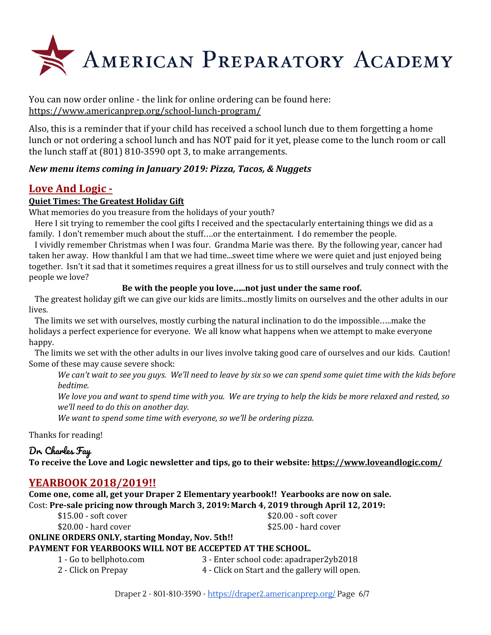

You can now order online - the link for online ordering can be found here[:](https://www.americanprep.org/school-lunch-program/) <https://www.americanprep.org/school-lunch-program/>

Also, this is a reminder that if your child has received a school lunch due to them forgetting a home lunch or not ordering a school lunch and has NOT paid for it yet, please come to the lunch room or call the lunch staff at (801) 810-3590 opt 3, to make arrangements.

### *New menu items coming in January 2019: Pizza, Tacos, & Nuggets*

## **Love And Logic -**

### **Quiet Times: The Greatest Holiday Gift**

What memories do you treasure from the holidays of your youth?

Here I sit trying to remember the cool gifts I received and the spectacularly entertaining things we did as a family. I don't remember much about the stuff….or the entertainment. I do remember the people.

I vividly remember Christmas when I was four. Grandma Marie was there. By the following year, cancer had taken her away. How thankful I am that we had time...sweet time where we were quiet and just enjoyed being together. Isn't it sad that it sometimes requires a great illness for us to still ourselves and truly connect with the people we love?

### **Be with the people you love**…**..not just under the same roof.**

The greatest holiday gift we can give our kids are limits...mostly limits on ourselves and the other adults in our lives.

The limits we set with ourselves, mostly curbing the natural inclination to do the impossible…..make the holidays a perfect experience for everyone. We all know what happens when we attempt to make everyone happy.

The limits we set with the other adults in our lives involve taking good care of ourselves and our kids. Caution! Some of these may cause severe shock:

We can't wait to see you guys. We'll need to leave by six so we can spend some quiet time with the kids before *bedtime.*

We love you and want to spend time with you. We are trying to help the kids be more relaxed and rested, so *we'll need to do this on another day.*

*We want to spend some time with everyone, so we'll be ordering pizza.*

Thanks for reading!

## Dr. Charles Fay

**To receive the Love and Logic newsletter and tips, go to their website: <https://www.loveandlogic.com/>**

## **YEARBOOK 2018/2019!!**

**Come one, come all, get your Draper 2 Elementary yearbook!! Yearbooks are now on sale.** Cost: **Pre-sale pricing now through March 3, 2019: March 4, 2019 through April 12, 2019:**

\$15.00 - soft cover \$20.00 - soft cover  $$20.00$  - hard cover  $$25.00$  - hard cover

### **ONLINE ORDERS ONLY, starting Monday, Nov. 5th!!**

### **PAYMENT FOR YEARBOOKS WILL NOT BE ACCEPTED AT THE SCHOOL.**

| 3 - Enter school code: apadraper2yb2018<br>1 - Go to bellphoto.com |
|--------------------------------------------------------------------|
|--------------------------------------------------------------------|

- 2 Click on Prepay 4 Click on Start and the gallery will open.
	- Draper 2 801-810-3590 <https://draper2.americanprep.org/> Page 6/7